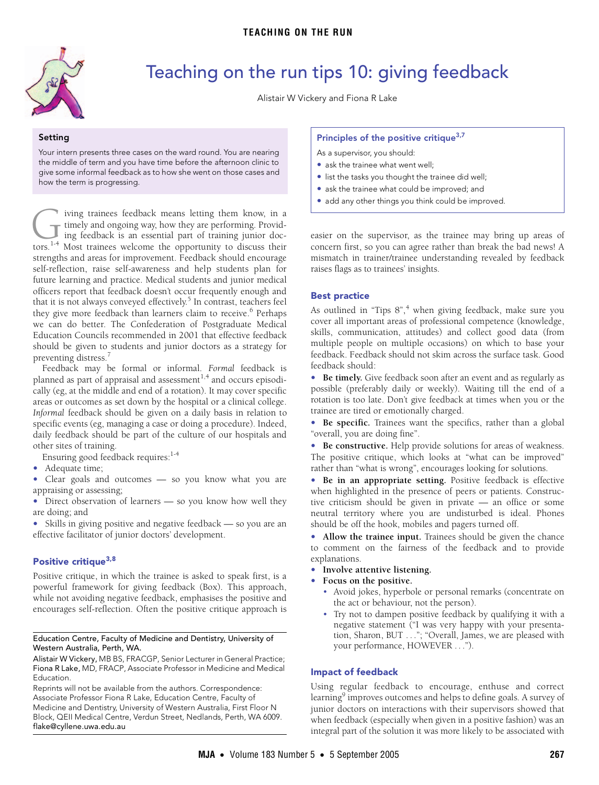<span id="page-0-0"></span>

# Teaching on the run tips 10: giving feedback

Alistair W Vickery and Fiona R Lake

**Setting** Your intern presents three cases on the ward round. You are nearing the middle of term and you have time before the afternoon clinic to give some informal feedback as to how she went on those cases and how the term is progressing.

iving trainees feedback means letting them know, in a timely and ongoing way, how they are performing. Providing feedback is an essential part of training junior doc-The iving trainees feedback means letting them know, in a timely and ongoing way, how they are performing. Providing feedback is an essential part of training junior doctors.<sup>[1](#page-1-0)-4</sup> Most trainees welcome the opportunity to d strengths and areas for improvement. Feedback should encourage self-reflection, raise self-awareness and help students plan for future learning and practice. Medical students and junior medical officers report that feedback doesn't occur frequently enough and that it is not always conveyed effectively.<sup>5</sup> In contrast, teachers feel they give more feedback than learners claim to receive.<sup>6</sup> Perhaps we can do better. The Confederation of Postgraduate Medical Education Councils recommended in 2001 that effective feedback should be given to students and junior doctors as a strategy for preventing distress.<sup>[7](#page-1-4)</sup>

planned as part of appraisal and assessment<sup>[1,](#page-1-0)4</sup> and occurs episodically (eg, at the middle and end of [a rot](#page-0-0)[ation](#page-1-8)). It may cover specific areas or outcomes as set down by the hospital or a clinical college. www.mja.com.au *Informal* feedback should be given on a daily basis in relation to mformal recuback should be given on a daily basis in relation to<br>specific events (eg, managing a case or doing a procedure). Indeed, Feedback may be formal or informal. *Formal* feedback is daily feedback should be part of the culture of our hospitals and other sites of training.

- Ensuring good feedback requires:<sup>1-[4](#page-1-1)</sup>
- **•** Adequate time;
- **•** Clear goals and outcomes so you know what you are appraising or assessing;
- Direct observation of learners so you know how well they are doing; and
- **•** Skills in giving positive and negative feedback so you are an effective facilitator of junior doctors' development.

### **Positive critique[3](#page-1-5)[,8](#page-1-6)**

Positive critique, in which the trainee is asked to speak first, is a powerful framework for giving feedback (Box). This approach, while not avoiding negative feedback, emphasises the positive and encourages self-reflection. Often the positive critique approach is

#### Education Centre, Faculty of Medicine and Dentistry, University of Western Australia, Perth, WA.

Alistair W Vickery, MB BS, FRACGP, Senior Lecturer in General Practice; Fiona R Lake, MD, FRACP, Associate Professor in Medicine and Medical Education.

Reprints will not be available from the authors. Correspondence: Associate Professor Fiona R Lake, Education Centre, Faculty of Medicine and Dentistry, University of Western Australia, First Floor N Block, QEII Medical Centre, Verdun Street, Nedlands, Perth, WA 6009. flake@cyllene.uwa.edu.au

#### **Principles of the positive critiqu[e3,](#page-1-5)[7](#page-1-4)**

As a supervisor, you should:

- **•** ask the trainee what went well;
- **•** list the tasks you thought the trainee did well;
- **•** ask the trainee what could be improved; and
- **•** add any other things you think could be improved.

easier on the supervisor, as the trainee may bring up areas of concern first, so you can agree rather than break the bad news! A mismatch in trainer/trainee understanding revealed by feedback raises flags as to trainees' insights.

### **Best practice**

As outlined in "Tips 8",<sup>[4](#page-1-1)</sup> when giving feedback, make sure you cover all important areas of professional competence (knowledge, skills, communication, attitudes) and collect good data (from multiple people on multiple occasions) on which to base your feedback. Feedback should not skim across the surface task. Good feedback should:

**• Be timely.** Give feedback soon after an event and as regularly as possible (preferably daily or weekly). Waiting till the end of a rotation is too late. Don't give feedback at times when you or the trainee are tired or emotionally charged.

**• Be specific.** Trainees want the specifics, rather than a global "overall, you are doing fine".

**• Be constructive.** Help provide solutions for areas of weakness. The positive critique, which looks at "what can be improved" rather than "what is wrong", encourages looking for solutions.

**• Be in an appropriate setting.** Positive feedback is effective when highlighted in the presence of peers or patients. Constructive criticism should be given in private — an office or some neutral territory where you are undisturbed is ideal. Phones should be off the hook, mobiles and pagers turned off.

**• Allow the trainee input.** Trainees should be given the chance to comment on the fairness of the feedback and to provide explanations.

- **• Involve attentive listening.**
- **• Focus on the positive.**
	- Avoid jokes, hyperbole or personal remarks (concentrate on the act or behaviour, not the person).
	- Try not to dampen positive feedback by qualifying it with a negative statement ("I was very happy with your presentation, Sharon, BUT . . ."; "Overall, James, we are pleased with your performance, HOWEVER . . .").

### **Impact of feedback**

Using regular feedback to encourage, enthuse and correct learning<sup>[9](#page-1-7)</sup> improves outcomes and helps to define goals. A survey of junior doctors on interactions with their supervisors showed that when feedback (especially when given in a positive fashion) was an integral part of the solution it was more likely to be associated with